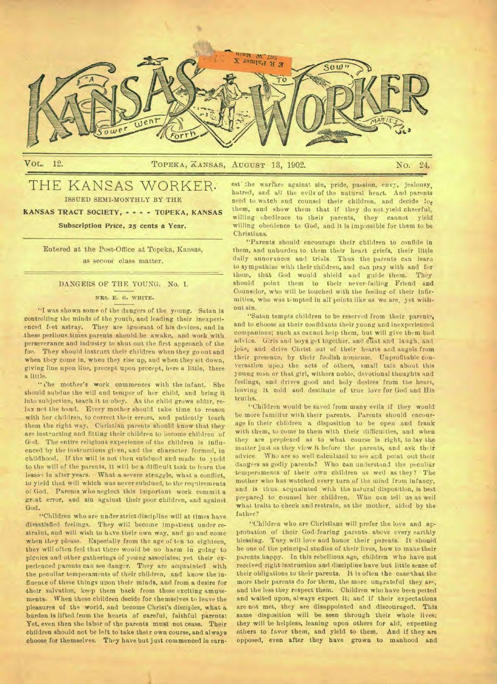

# THE KANSAS WORKER. ISSUED SEMI-MONTHLY BY THE

KANSAS TRACT SOCIETY, - - - - TOPEKA, KANSAS

# Subscription Price, 25 cents a Year.

Entered at the Post-Office at Topeka, Kansas, as second class matter.

# DANGERS OF THE YOUNG. No. I.

# **MRS. E. G. WHITE.**

"I was shown some of the dangers of the young. Satan is controlling the minds of the youth, and leading their inexperienced feet astray. They are ignorant of his devices, and in these perilous times parents should be awake, and work with perseverance and industry to shut out the first approach of the foe. They should instruct their children when they go out and when they come in, when they rise up, and when they sit down, giving line upon line, precept upon precept, here a little, there a little.

" the mother's work commences with the infant. She should subdue the will and temper of her child, and bring it into subjection, teach it to obey. As the child grows older, relax not the hand, Every mother should take time to reason with her children, to correct their errors. and patiently teach them the right way. Christian parents should know that they are inst-ucting and fitting their children to uecome children of God, The entire religious experience of the children is influenced by the instructions given, and the character formed, in childhood. If the will is not then subdued and made to yield to the will of the parents, it will be a difficult task to learn the lessou in after years. What a severe struggle, what a conflict, to yield that will which was never subdued, to the requirements of God. Parents who neglect this important work commit a great error, and sin against their poor children, and against God.

"Children who are under strict discipline will at times have dissatisfied feelings. They will become impatient under restraint, and will wish to have their own way, and go and come when they please. Especially from the age of ten to eighteen, they will often feel that there would be no harm in going to picnics and other gatherings of young associates; yet their experienced parents can see danger. They are acquainted with the peculiar temperaments of their children, and know the influence of these things upon their minds, and from a desire for their salvation, keep them back from these exciting amusements. When these children decide for themselves to leave the pleasures of the world, and become Christ's disciples, what a burden is lifted from the hearts of careful, faithful parents! Yet, even then the labor of the parents must not cease. Their children should not be left to take their own course, and always choose for themselves. They have but just commenced in earn-

est' the warfhre against sin, pride, passion, envy, jealousy, hatred, and all the evils of the natural heart. And parents need to watch and counsel their children, and decide for them, and show them that if they do not yield cheerful, willing obedience to their parents, they cannot yield willing obedience to God, and it is impossible for them to be Christians.

"Parents should encourage their children to confide in them, and unburden to them their heart griefs, their little daily annoyances and trials. Thus the parents can learn to sympathize with their children, and can pray with and for them, that God would shield and guide them. They should point them to their never-failing Friend and Counselor, who will be touched with the feeling of their infirmities, who was tempted in all points like as we are, yet without sin.

"Satan tempts children to be reserved from their parents, and to choose as their confidants their young and inexperienced companions; such as cannot help them, but will give them bad advice. Girls and boys get together, and cliat and laugh, and joke, and drive Christ out of their hearts and angels from their presence, by their foolish nonsense. Unprofitable conversation upon the acts of others, small talk about this young man or that girl, withers noble, devotional thoughts and feelings, and drives good and holy desires from the heart, leaving it cold and destitute of true love for God and His truths.

"Children would be saved from many evils if they would be more familiar with their parents. Parents should encourage in their children a disposition to be open and frank with them, to come to them with their difficulties, and when they are preplexed as to what course is right, to lay the matter just as they view it before the parents, and ask their advice. Who are so well calculated to see and point out their dangers as godly parents? Who can understand the peculiar temperaments of their own children as weil as they? The mother who has watched every turn of the mind from infancy, and is thus acquainted with the natural disposition, is best prepared to counsel her children. Who can tell us as well what traits to check and restrain, as the mother, aided by the father?

"Children who are Christians will prefer the love and approbation of their God-fearing parents above every earthly blessing. Tney will love and honor their parents. It should be one of the principal studies of their lives, how to make their parents happy. In this rebellious age, children who have not received right instruction and discipline have but little sense of their obligations to their parents. It is often the case that the more their parents do for them, the more ungrateful they are, and the less they respect them. Children who have been petted and waited upon, always expect it; and if their expectations are not met, they are disappointed and discouraged. This same disposition will be seen through their whole lives; they will be helpless, leaning upon others for aid, expecting others to favor them, and yield to them. And if they are opposed, even after they have grown to manhood and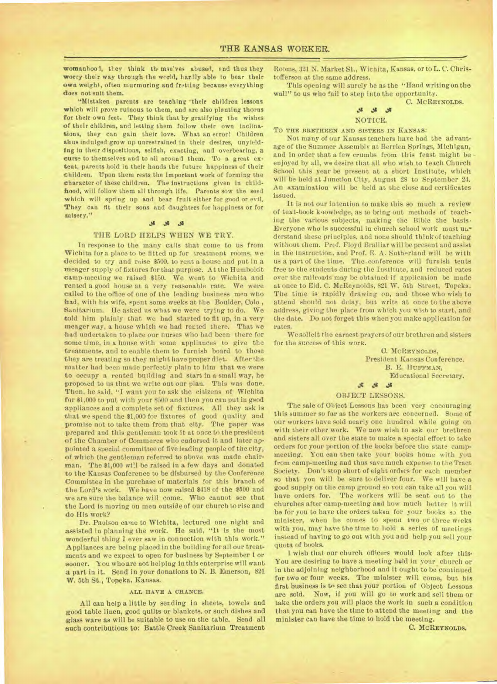womanhool, they think the mse'ves abused, and thus they worry their way through the world, hardly able to bear their own weight, often murmuring and fretting because everything *does* not suit them.

"Mistaken parents are teaching their children lessons which will prove ruinous to them, and are also planting thorns for their own feet. They think that by gratifying the wishes of their children, and letting them follow their own inclinations, they can gain their love. What an error! Children thus indulged grow up unrestrained in their desires, unyielding in their dispositions, selfish, exacting, and overbearing, a curse to themselves and to all around them. To a great extent, parents hold in their hands the future happiness of their children. Upon them rests the Important work of forming the character of these children. The instructions given in childhood, will follow them all through life. Parents sow the seed which will spring up and bear fruit either for good or evil. They can fit their sons and daughters for happiness or for misery."

#### $36$   $36$   $32$

#### THE LORD HELPS WHEN WE TRY.

In response to the many calls that come to us from Wichita fora place to be fitted up for treatment rooms, we decided to try and raise \$500. to rent a house and put in a meager supply of fixtures for that purpose. At the Humboldt camp-meeting we raised \$150. We went to Wichita and rented a good house at a very reasonable rate. We were called to the office of one of the leading business men who had, with his wife, spent some weeks at the Boulder, Colo., Sanitarium. He asked us what we were trying to do. We told him plainly that we had started to fit up, in a very meager way, a house which we had rected there. That we had undertaken to place our nurses who had been there for some time, in a house with some appliances to give the treatments, and to enable them to furnish board to those they are treating so they might have proper diet. After the matter bad been made perfectly plain to him that we were to occupy a rented building and start in a small way, he proposed to us that we write out our plan. This was done. Then, he said, "I want you to ask the citizens of Wichita for \$1,000 to put with your \$500 and then you can put in good appliances and a complete set of fixtures. All they ask is that we spend the \$1,000 for fixtures of good quality and promise not to take them from that city. The paper was prepared and this gentleman took it at once to the president of the Chamber of Commerce who endorsed it and later appointed a special committee of five leading people of the city, of which the gentleman referred to above was made chairman. The \$1,000 will be raised in a few days and donated to the Kansas Conference to be disbursed by the Conference Committee in the purchase of materials for this branch of the Lord's work. We have now raised \$418 of the \$500 and we are sure the balance will come. Who cannot see that the Lord is moving on men outside of our church to rise and do His work?

Dr. Paulson came to Wichita, lectured one night and assisted in planning the work. He said, "It is the most wonderful thing 1 ever saw in connection with this work." Appliances are being placed in the building for all our treatments and we expect to open for business by September 1 or sooner. You who are not helping in this enterprise will want a part in it. Send in your donations to N. B. Emerson, 821 W. 5th St., Topeka, Kansas.

#### **ALL HAVE A CHANCE.**

All can help a little by serding in sheets, towels and good table linen, good quilts or blankets, or such dishes and glass ware as will be suitable to use on the table. Send all such contributions to: Battle Creek Sanitarium Treatment

Rooms, 321 N. Market St., Wichita, Kansas, or to L. C. Christofferson at the same address.

This opening will surely be as the "Hand writing on the wall" to us who fail to step into the opportunity.

C. **MC REYNOLDS.** 

# sty Ai di NOTICE.

To **THE BRETHREN AND SISTERS IN KANSAS:** 

Not many of our Kansas teachers have had the advantage of the Summer Assembly at Berrien Springs, Michigan, and in order that a few crumbs from this feast might beenjoyed by all, we desire that all who wish to teach Church School this year be present at a short Institute, which will be held at Junction City, August 28 to September 24. An examination will be held at the close and certificates issued.

It is not our intention to make this so much a review of text-book knowledge, as to bring out methods of teaching the various subjects, making the Bible the basis. Everyone who is successful in church school work must uoderstand these principles, and none should think of teaching without them. Prof. Floyd Bralliar will be present and assist in the Instruction. and Prof. E. A. Sutherland will be with us a part of the time. The conference will furnish tents free to the students during the Institute, and reduced rates over the railroads may be obtained if application be made at once to Eld. C. McReynolds, 821 W. 5th Street, Topeka. The time is rapidly drawing en, and those who wish to attend should not delay, but write at once to the above address, *giving* the place from which you wish to start, and the date. Do not forget this when you make application for rates.

We solicit the earnest prayers of our brethren and sisters for the success of this work.

> C. MC**REYNOLDS,**  President Kansas Conference. B. E. I1UFFMAN, Educational Secretary.

# slt di

# OBJECT LESSONS.

The sale of Object Lessons has been very encouraging this summer so far as the workers are concerned. Some of our workers have sold nearly one hundred while going on with their other work. We now wish to ask our brethren and sisters all over the state to make a special effort to take orders for your portion of the books before the state campmeeting. You can then take your books home with you from camp-meeting and thus save much expense to the Tract Society. Don't stop short of eight orders for each member so that you will be sure to deliver four. We will have a good supply on the camp ground so you can take all you will have orders for. The workers will be sent out to the churches after camp-meeting and how much better it will be for you to have the orders taken for your books **53** the minister, when he comes to spend two or three weeks with you, may have the time to hold a series of meetings instead of having to go out with you and help you sell your quota of books.

I wish that our church officers would look after this• You are desiring to have a meeting held in your church or in the adjoining neighborhood and it ought to be continued for two or four weeks. The minister will come, but his first business is to see that your portion of Object Lessons are sold. Now, if you will go to work and sell them or take the orders you will place the work in such a condition that you can have the time to attend the meeting and the minister can have the time to hold the meeting.

C. **MCREYNOLDS.**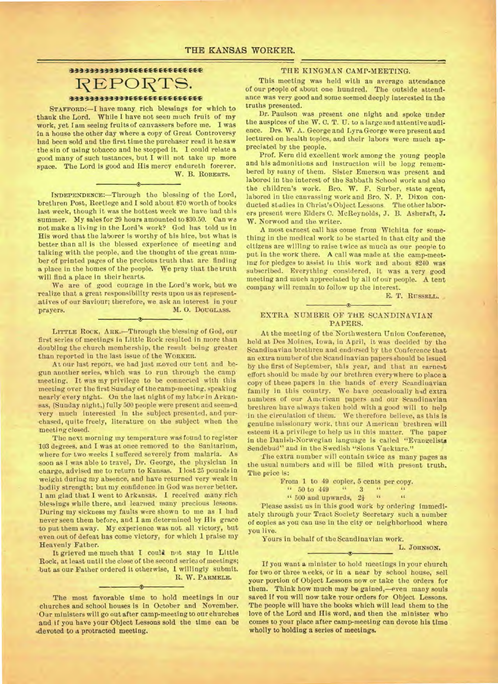# **31111111431310E:CCE-\*CECCCECEe**  REPORTS. **ili13111011314-33MEE-1-E-E EFEEK,CEE4**

**STAFFORD:—I have many rich blessings for which to thank the Lord. While I have not seen much fruit of my work, yet lam seeing fruits of canvassers before me. I was in a house the other day where a copy of Great Controversy had been sold and the first time the purchaser read it he saw the sin of using tobacco and he stopped it. I could relate a good many of such Instances, but I will not take up more space. The Lord Is good and His mercy endureth forever.**  W. B. ROBERTS.

**INDEPENDENCE:—Through the blessing of the Lord, brethren Post, Reetlege and I sold about \$70 worth of books last week, though it was the hottest week we have bad this summer. My sales for 29 hours amounted to \$30.50. Can we not make a living in the Lord's work? God has told us in His word that the laborer is worthy of his hire, but what Is better than all is the blessed experience of meeting and talking with the people, and the thought of the great number of printed pages of the precious truth that are finding a place in the homes of the people. We pray that the truth will find a place in theirhearts.** 

**We are of good courage in the Lord's work, but we realize that a great responsibility** *rests* **upon us as representatives of our Saviour; therefore, we ask an interest in your prayers. M. O. DOUGLASS.** 

LITTLE ROCK, ARK.-Through the blessing of God, our **first series of meetings in Little Rock resulted in more than doubling the church membership, the result being greater than reported in the last issue of the WORKER.** 

**At our last report, we had just moved our tent and begun another series, which was to run through the camp meeting. It was my privilege to be connected with this meeting over the first Sunday of the camp-meeting. speaking nearly' every night. On the last night of my labor in Arkansas, (Sunday night,) fully 500 people were present and seemed very much interested in the subject presented, and purchased, quite freely, literature on the subject when the meeting closed.** 

**The next morning my temperature was found to register 103 degrees, and I was at once removed to the Sanitarium, where for two weeks I suffered severely from malaria. As soon as I was able to travel, Dr. George, the physician in charge, advised me to return to Kansas. I lost 25 pounds in weight during my absence, and have returned very weak in bodily strength; but my confidence in God was never better. 1 am glad that I went to Arkansas. I received many rich blessings while there, and learned many precious lessons. During my sickness my faults were shown to me as I had never seen them before, and I am determined by His grace to put them away. My experience was not all victory, but even out of defeat has come victory, for which 1 praise my Heavenly Father.** 

**It grieved me much that I could not stay in Little Rock, at least until the close of the second series of meetings; but as our Father ordered it otherwise, 1 willingly submit. R. W. PARMELE.** 

**The most favorable time to hold meetings in our churches and school houses is in October and November. 'Our ministers will go out after camp-meeting to our churches and if you have your Object Lessons sold the time can be \*devoted to a protracted meeting.** 

### **THE KINGMAN CAMP-MEETING.**

**This meeting was held with an average attendance of our people of about one hundred. The outside attendance was very good and some seemed deeply interested In the truths presented.** 

**Dr. Paulson was present one night and spoke under the auspices of the W. C. T. U. to a large and attentive audience. Drs. W. A. George and Lyra George were present and lectured on health topics, and their labors were much appreciated by the people.** 

**Prof. Kern did excellent work among the young people and his admonitions and instruction will be long remembered by many of them. Sister Emerson was present and labored in the interest of the Sabbath School work and also the children's work. Bro. W. F. Surber, state agent, labored in the canvassing work and Bro. N. P. Dixon conducted stadies in Christ's Object Lessons. The other labor**ers present were Elders C. McReynolds, J. B. Ashcraft, J. **W. Norwood and the writer.** 

**A most earnest call has come from Wichita for something in the medical work to be started in that city and the citizens are willing to raise twice as much as our people to put in the work there. A call was made at the camp-meet**ing for pledges to assist in this work and about \$240 was **subscribed. Everything considered, it was a very good meeting and much appreciated by all of our people. A tent company will remain to follow up the interest.** 

**E. T.RUSSELL.** 

### **EXTRA NUMBER OF THE SCANDINAVIAN PAPERS.**

**At the meeting of the Northwestern Union Conference, held at Des Moines, Iowa, in April, it was decided by the Scandinavian brethren and endorsed by the Conference that an extra number of the Scandinavian papers should be issued by the first of September, this year, and that an earnest effort should be** *made* **by our brethren everywhere to place a copy of these papers in the hands of every Scandinavian**  family in this country. We have occasionally had extra numbers of our American papers and our Scandinavian **brethren have always taken hold with a good will to help in the circulation of them. We therefore** *believe,* **as this is genuine missionary work, that our American brethren will esteem it a privilege to help us in this matter. The paper in the Danish-Norwegian language is called "Evangelists Sendebud" and in the Swedish "Sions Vaektare."** 

The extra number will contain twice as many pages as **the usual numbers and will be filled with present truth. The price Is:** 

**From 1 to 49 copies, 5 cents per copy.**  $\begin{array}{cccccc}\n\cdot & 50 & 60 & 449 & \cdots & 3 & \cdots & \cdots\n\end{array}$ 

**" 50 to 449 " 3 " <sup>61</sup>**

 $\cdot$  500 and upwards,  $2\frac{1}{2}$ 

**Please assist us in this good work by ordering immediately through your Tract Society Secretary such a number of copies as you can use in the city or neighborhood where you live.** 

 $\rightarrow$ 

**Yours in behalf of the Scandinavian work.** 

**L.JOHNSON.** 

**If you want a minister to hold meetings in your church**  for two or three weeks, or in a near by school house, sell **your portion of Object Lessons now or take the orders for them. Think how much may be gained,—even many souls saved if you will now take your orders for Object Lessons. The people will have the books which will lead them to the love of the Lord and His word, and then the minister who comes to your place after camp-meeting can devote his time wholly to holding a series of meetings.**